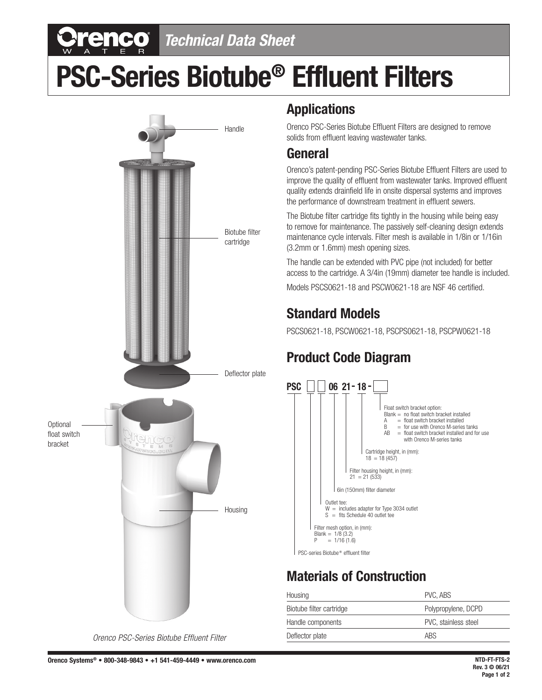# *Technical Data Sheet*

# **PSC-Series Biotube® Effluent Filters**



#### **Applications**

Orenco PSC-Series Biotube Effluent Filters are designed to remove solids from effluent leaving wastewater tanks.

#### **General**

Orenco's patent-pending PSC-Series Biotube Effluent Filters are used to improve the quality of effluent from wastewater tanks. Improved effluent quality extends drainfield life in onsite dispersal systems and improves the performance of downstream treatment in effluent sewers.

The Biotube filter cartridge fits tightly in the housing while being easy to remove for maintenance. The passively self-cleaning design extends maintenance cycle intervals. Filter mesh is available in 1/8in or 1/16in (3.2mm or 1.6mm) mesh opening sizes.

The handle can be extended with PVC pipe (not included) for better access to the cartridge. A 3/4in (19mm) diameter tee handle is included.

Models PSCS0621-18 and PSCW0621-18 are NSF 46 certified.

#### **Standard Models**

PSCS0621-18, PSCW0621-18, PSCPS0621-18, PSCPW0621-18

### **Product Code Diagram**



#### **Materials of Construction**

| Housing                  | PVC, ABS             |  |
|--------------------------|----------------------|--|
| Biotube filter cartridge | Polypropylene, DCPD  |  |
| Handle components        | PVC, stainless steel |  |
| Deflector plate          | <b>ABS</b>           |  |
|                          |                      |  |